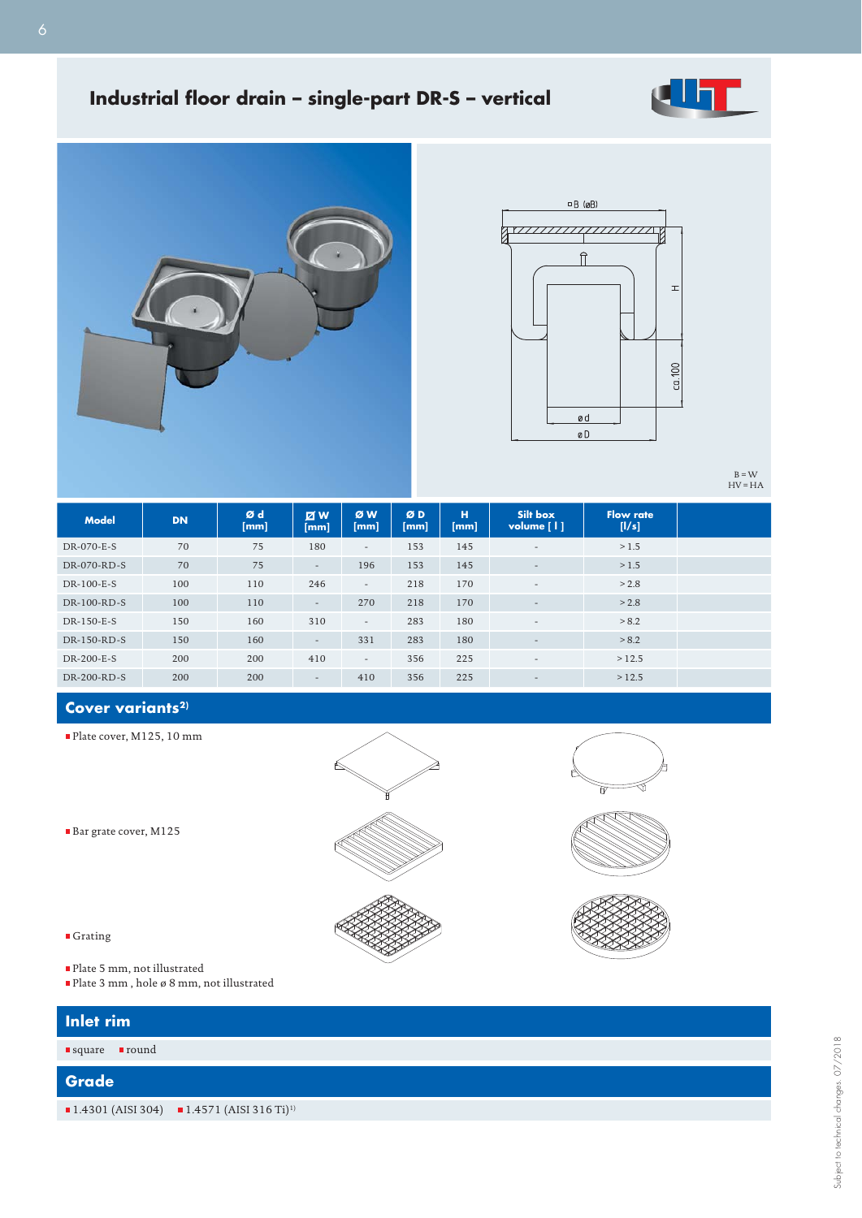# **Industrial floor drain - single-part DR-S - vertical**







 $B = W$ <br>HV = HA

| <b>Model</b> | <b>DN</b> | Ød<br>[mm] | $\boxtimes$ W<br>[mm]    | ØW<br>[mm]               | ØD<br>[mm] | н<br>[mm] | Silt box<br>volume [1]   | <b>Flow rate</b><br>[1/s] |
|--------------|-----------|------------|--------------------------|--------------------------|------------|-----------|--------------------------|---------------------------|
| DR-070-E-S   | 70        | 75         | 180                      | $\overline{\phantom{a}}$ | 153        | 145       | $\overline{\phantom{a}}$ | >1.5                      |
| DR-070-RD-S  | 70        | 75         | $\overline{\phantom{a}}$ | 196                      | 153        | 145       | $\overline{\phantom{a}}$ | >1.5                      |
| DR-100-E-S   | 100       | 110        | 246                      | $\sim$                   | 218        | 170       | $\overline{\phantom{a}}$ | > 2.8                     |
| DR-100-RD-S  | 100       | 110        | $\overline{\phantom{a}}$ | 270                      | 218        | 170       | $\overline{\phantom{a}}$ | > 2.8                     |
| DR-150-E-S   | 150       | 160        | 310                      | $\sim$                   | 283        | 180       | $\overline{\phantom{a}}$ | > 8.2                     |
| DR-150-RD-S  | 150       | 160        | $\overline{\phantom{a}}$ | 331                      | 283        | 180       | $\overline{\phantom{a}}$ | > 8.2                     |
| DR-200-E-S   | 200       | 200        | 410                      | $\sim$                   | 356        | 225       | $\overline{\phantom{a}}$ | >12.5                     |
| DR-200-RD-S  | 200       | 200        | $\overline{\phantom{a}}$ | 410                      | 356        | 225       | $\overline{\phantom{a}}$ | >12.5                     |

## Cover variants<sup>2)</sup>

Plate cover, M125, 10 mm

Bar grate cover, M125





- $\blacksquare$ Grating
	- Plate 5 mm, not illustrated
	- $\blacksquare$  <br> Plate 3 mm , hole ø 8 mm, not illustrated

| Inlet rim                             |                                                          |
|---------------------------------------|----------------------------------------------------------|
| <b>round</b><br>$\blacksquare$ square |                                                          |
| Grade                                 |                                                          |
|                                       | ■ 1.4301 (AISI 304) ■ 1.4571 (AISI 316 Ti) <sup>1)</sup> |